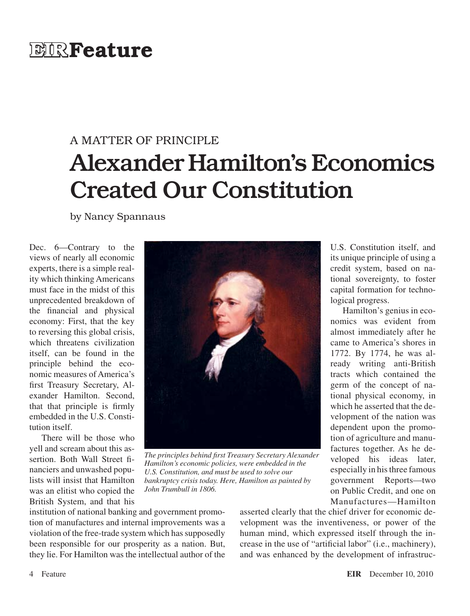## **EIR**Feature

# A MATTER OF PRINCIPLE Alexander Hamilton's Economics Created Our Constitution

by Nancy Spannaus

Dec. 6—Contrary to the views of nearly all economic experts, there is a simple reality which thinking Americans must face in the midst of this unprecedented breakdown of the financial and physical economy: First, that the key to reversing this global crisis, which threatens civilization itself, can be found in the principle behind the economic measures of America's first Treasury Secretary, Alexander Hamilton. Second, that that principle is firmly embedded in the U.S. Constitution itself.

There will be those who yell and scream about this assertion. Both Wall Street financiers and unwashed populists will insist that Hamilton was an elitist who copied the British System, and that his



*The principles behind first Treasury Secretary Alexander Hamilton's economic policies, were embedded in the U.S. Constitution, and must be used to solve our bankruptcy crisis today. Here, Hamilton as painted by John Trumbull in 1806.*

U.S. Constitution itself, and its unique principle of using a credit system, based on national sovereignty, to foster capital formation for technological progress.

Hamilton's genius in economics was evident from almost immediately after he came to America's shores in 1772. By 1774, he was already writing anti-British tracts which contained the germ of the concept of national physical economy, in which he asserted that the development of the nation was dependent upon the promotion of agriculture and manufactures together. As he developed his ideas later, especially in his three famous government Reports—two on Public Credit, and one on Manufactures—Hamilton

institution of national banking and government promotion of manufactures and internal improvements was a violation of the free-trade system which hassupposedly been responsible for our prosperity as a nation. But, they lie. For Hamilton was the intellectual author of the

asserted clearly that the chief driver for economic development was the inventiveness, or power of the human mind, which expressed itself through the increase in the use of "artificial labor" (i.e., machinery), and was enhanced by the development of infrastruc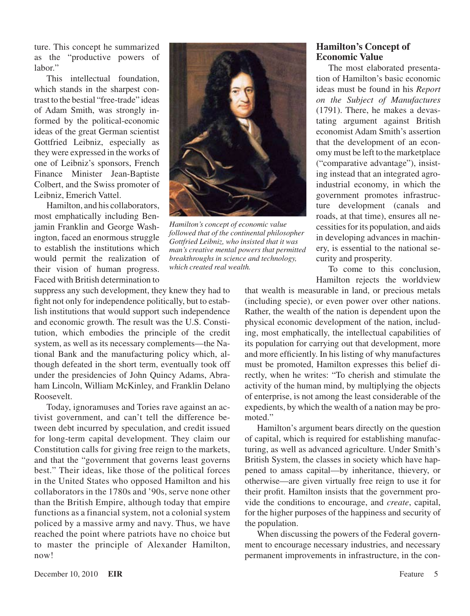ture. This concept he summarized as the "productive powers of labor."

This intellectual foundation, which stands in the sharpest contrast to the bestial "free-trade" ideas of Adam Smith, was strongly informed by the political-economic ideas of the great German scientist Gottfried Leibniz, especially as they were expressed in the works of one of Leibniz's sponsors, French Finance Minister Jean-Baptiste Colbert, and the Swiss promoter of Leibniz, Emerich Vattel.

Hamilton, and his collaborators, most emphatically including Benjamin Franklin and George Washington, faced an enormous struggle to establish the institutions which would permit the realization of their vision of human progress. Faced with British determination to

suppress any such development, they knew they had to fight not only for independence politically, but to establish institutions that would support such independence and economic growth. The result was the U.S. Constitution, which embodies the principle of the credit system, as well as its necessary complements—the National Bank and the manufacturing policy which, although defeated in the short term, eventually took off under the presidencies of John Quincy Adams, Abraham Lincoln, William McKinley, and Franklin Delano Roosevelt.

Today, ignoramuses and Tories rave against an activist government, and can't tell the difference between debt incurred by speculation, and credit issued for long-term capital development. They claim our Constitution calls for giving free reign to the markets, and that the "government that governs least governs best." Their ideas, like those of the political forces in the United States who opposed Hamilton and his collaborators in the 1780s and '90s, serve none other than the British Empire, although today that empire functions as a financial system, not a colonial system policed by a massive army and navy. Thus, we have reached the point where patriots have no choice but to master the principle of Alexander Hamilton, now!



*Hamilton's concept of economic value followed that of the continental philosopher Gottfried Leibniz, who insisted that it was man's creative mental powers that permitted breakthroughs in science and technology, which created real wealth.*

## **Hamilton's Concept of Economic Value**

The most elaborated presentation of Hamilton's basic economic ideas must be found in his *Report on the Subject of Manufactures* (1791). There, he makes a devastating argument against British economist Adam Smith's assertion that the development of an economy must be left to the marketplace ("comparative advantage"), insisting instead that an integrated agroindustrial economy, in which the government promotes infrastructure development (canals and roads, at that time), ensures all necessitiesfor its population, and aids in developing advances in machinery, is essential to the national security and prosperity.

To come to this conclusion, Hamilton rejects the worldview

that wealth is measurable in land, or precious metals (including specie), or even power over other nations. Rather, the wealth of the nation is dependent upon the physical economic development of the nation, including, most emphatically, the intellectual capabilities of its population for carrying out that development, more and more efficiently. In his listing of why manufactures must be promoted, Hamilton expresses this belief directly, when he writes: "To cherish and stimulate the activity of the human mind, by multiplying the objects of enterprise, is not among the least considerable of the expedients, by which the wealth of a nation may be promoted."

Hamilton's argument bears directly on the question of capital, which is required for establishing manufacturing, as well as advanced agriculture. Under Smith's British System, the classes in society which have happened to amass capital—by inheritance, thievery, or otherwise—are given virtually free reign to use it for their profit. Hamilton insists that the government provide the conditions to encourage, and *create*, capital, for the higher purposes of the happiness and security of the population.

When discussing the powers of the Federal government to encourage necessary industries, and necessary permanent improvements in infrastructure, in the con-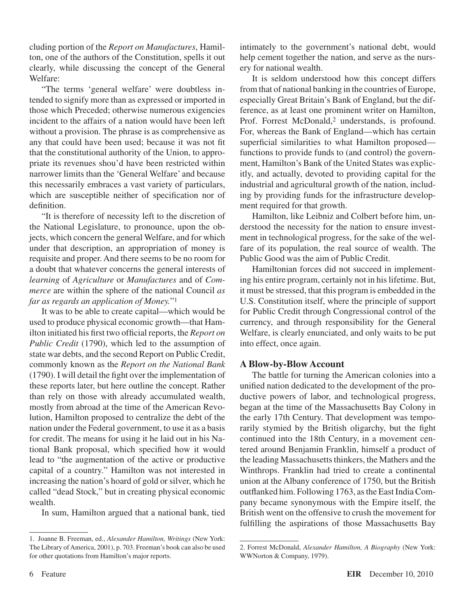cluding portion of the *Report on Manufactures*, Hamilton, one of the authors of the Constitution, spells it out clearly, while discussing the concept of the General Welfare:

"The terms 'general welfare' were doubtless intended to signify more than as expressed or imported in those which Preceded; otherwise numerous exigencies incident to the affairs of a nation would have been left without a provision. The phrase is as comprehensive as any that could have been used; because it was not fit that the constitutional authority of the Union, to appropriate its revenues shou'd have been restricted within narrower limits than the 'General Welfare' and because this necessarily embraces a vast variety of particulars, which are susceptible neither of specification nor of definition.

"It is therefore of necessity left to the discretion of the National Legislature, to pronounce, upon the objects, which concern the general Welfare, and for which under that description, an appropriation of money is requisite and proper. And there seems to be no room for a doubt that whatever concerns the general interests of *learning* of *Agriculture* or *Manufactures* and of *Commerce* are within the sphere of the national Council *as far as regards an application of Money.*"1

It was to be able to create capital—which would be used to produce physical economic growth—that Hamilton initiated his first two official reports, the *Report on Public Credit* (1790), which led to the assumption of state war debts, and the second Report on Public Credit, commonly known as the *Report on the National Bank* (1790). I will detail the fight over the implementation of these reports later, but here outline the concept. Rather than rely on those with already accumulated wealth, mostly from abroad at the time of the American Revolution, Hamilton proposed to centralize the debt of the nation under the Federal government, to use it as a basis for credit. The means for using it he laid out in his National Bank proposal, which specified how it would lead to "the augmentation of the active or productive capital of a country." Hamilton was not interested in increasing the nation's hoard of gold or silver, which he called "dead Stock," but in creating physical economic wealth.

In sum, Hamilton argued that a national bank, tied

intimately to the government's national debt, would help cement together the nation, and serve as the nursery for national wealth.

It is seldom understood how this concept differs from that of national banking in the countries of Europe, especially Great Britain's Bank of England, but the difference, as at least one prominent writer on Hamilton, Prof. Forrest McDonald,<sup>2</sup> understands, is profound. For, whereas the Bank of England—which has certain superficial similarities to what Hamilton proposed functions to provide funds to (and control) the government, Hamilton's Bank of the United States was explicitly, and actually, devoted to providing capital for the industrial and agricultural growth of the nation, including by providing funds for the infrastructure development required for that growth.

Hamilton, like Leibniz and Colbert before him, understood the necessity for the nation to ensure investment in technological progress, for the sake of the welfare of its population, the real source of wealth. The Public Good was the aim of Public Credit.

Hamiltonian forces did not succeed in implementing his entire program, certainly not in hislifetime. But, it must be stressed, that this program is embedded in the U.S. Constitution itself, where the principle of support for Public Credit through Congressional control of the currency, and through responsibility for the General Welfare, is clearly enunciated, and only waits to be put into effect, once again.

### **A Blow-by-Blow Account**

The battle for turning the American colonies into a unified nation dedicated to the development of the productive powers of labor, and technological progress, began at the time of the Massachusetts Bay Colony in the early 17th Century. That development was temporarily stymied by the British oligarchy, but the fight continued into the 18th Century, in a movement centered around Benjamin Franklin, himself a product of the leading Massachusetts thinkers, the Mathers and the Winthrops. Franklin had tried to create a continental union at the Albany conference of 1750, but the British outflanked him. Following 1763, as the East India Company became synonymous with the Empire itself, the British went on the offensive to crush the movement for fulfilling the aspirations of those Massachusetts Bay

<sup>1.</sup> Joanne B. Freeman, ed., *Alexander Hamilton, Writings* (New York: The Library of America, 2001), p. 703. Freeman's book can also be used for other quotations from Hamilton's major reports.

<sup>2.</sup> Forrest McDonald, *Alexander Hamilton, A Biography* (New York: WWNorton & Company, 1979).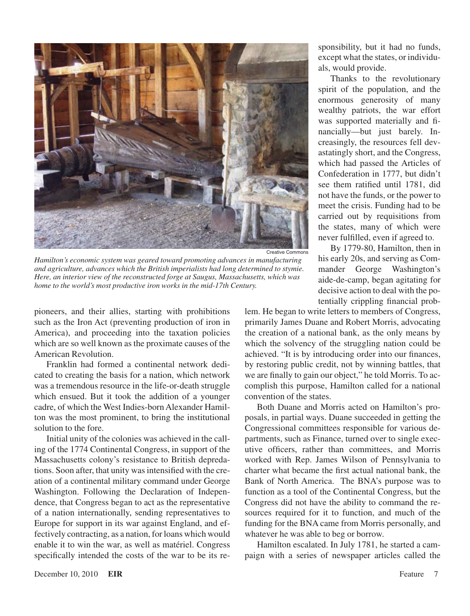

Creative Commons

*Hamilton's economic system was geared toward promoting advances in manufacturing and agriculture, advances which the British imperialists had long determined to stymie. Here, an interior view of the reconstructed forge at Saugus, Massachusetts, which was home to the world's most productive iron works in the mid-17th Century.*

pioneers, and their allies, starting with prohibitions such as the Iron Act (preventing production of iron in America), and proceeding into the taxation policies which are so well known as the proximate causes of the American Revolution.

Franklin had formed a continental network dedicated to creating the basis for a nation, which network was a tremendous resource in the life-or-death struggle which ensued. But it took the addition of a younger cadre, of which the West Indies-born Alexander Hamilton was the most prominent, to bring the institutional solution to the fore.

Initial unity of the colonies was achieved in the calling of the 1774 Continental Congress, in support of the Massachusetts colony's resistance to British depredations. Soon after, that unity was intensified with the creation of a continental military command under George Washington. Following the Declaration of Independence, that Congress began to act as the representative of a nation internationally, sending representatives to Europe for support in its war against England, and effectively contracting, as a nation, for loans which would enable it to win the war, as well as matériel. Congress specifically intended the costs of the war to be its responsibility, but it had no funds, except what the states, or individuals, would provide.

Thanks to the revolutionary spirit of the population, and the enormous generosity of many wealthy patriots, the war effort was supported materially and financially—but just barely. Increasingly, the resources fell devastatingly short, and the Congress, which had passed the Articles of Confederation in 1777, but didn't see them ratified until 1781, did not have the funds, or the power to meet the crisis. Funding had to be carried out by requisitions from the states, many of which were never fulfilled, even if agreed to.

By 1779-80, Hamilton, then in his early 20s, and serving as Commander George Washington's aide-de-camp, began agitating for decisive action to deal with the potentially crippling financial prob-

lem. He began to write letters to members of Congress, primarily James Duane and Robert Morris, advocating the creation of a national bank, as the only means by which the solvency of the struggling nation could be achieved. "It is by introducing order into our finances, by restoring public credit, not by winning battles, that we are finally to gain our object," he told Morris. To accomplish this purpose, Hamilton called for a national convention of the states.

Both Duane and Morris acted on Hamilton's proposals, in partial ways. Duane succeeded in getting the Congressional committees responsible for various departments, such as Finance, turned over to single executive officers, rather than committees, and Morris worked with Rep. James Wilson of Pennsylvania to charter what became the first actual national bank, the Bank of North America. The BNA's purpose was to function as a tool of the Continental Congress, but the Congress did not have the ability to command the resources required for it to function, and much of the funding for the BNA came from Morris personally, and whatever he was able to beg or borrow.

Hamilton escalated. In July 1781, he started a campaign with a series of newspaper articles called the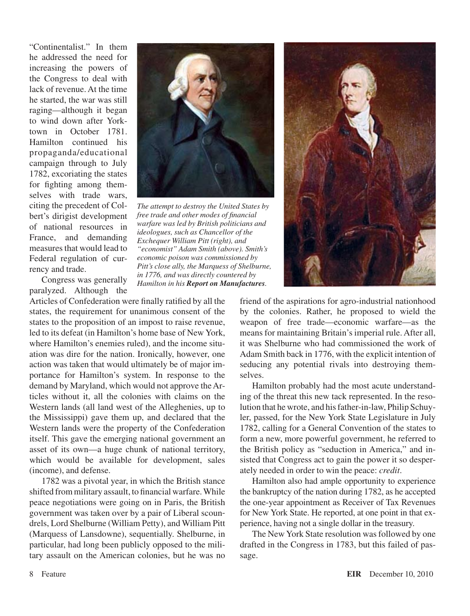"Continentalist." In them he addressed the need for increasing the powers of the Congress to deal with lack of revenue. At the time he started, the war was still raging—although it began to wind down after Yorktown in October 1781. Hamilton continued his propaganda/educational campaign through to July 1782, excoriating the states for fighting among themselves with trade wars, citing the precedent of Colbert's dirigist development of national resources in France, and demanding measures that would lead to Federal regulation of currency and trade.

*The attempt to destroy the United States by free trade and other modes of financial warfare was led by British politicians and ideologues, such as Chancellor of the Exchequer William Pitt (right), and "economist" Adam Smith (above). Smith's economic poison was commissioned by Pitt's close ally, the Marquess of Shelburne, in 1776, and was directly countered by Hamilton in his Report on Manufactures.*

Congress was generally paralyzed. Although the

Articles of Confederation were finally ratified by all the states, the requirement for unanimous consent of the states to the proposition of an impost to raise revenue, led to its defeat (in Hamilton's home base of New York, where Hamilton's enemies ruled), and the income situation was dire for the nation. Ironically, however, one action was taken that would ultimately be of major importance for Hamilton's system. In response to the demand by Maryland, which would not approve theArticles without it, all the colonies with claims on the Western lands (all land west of the Alleghenies, up to the Mississippi) gave them up, and declared that the Western lands were the property of the Confederation itself. This gave the emerging national government an asset of its own—a huge chunk of national territory, which would be available for development, sales (income), and defense.

1782 was a pivotal year, in which the British stance shifted from military assault, to financial warfare. While peace negotiations were going on in Paris, the British government was taken over by a pair of Liberal scoundrels, Lord Shelburne (William Petty), and William Pitt (Marquess of Lansdowne), sequentially. Shelburne, in particular, had long been publicly opposed to the military assault on the American colonies, but he was no



friend of the aspirations for agro-industrial nationhood by the colonies. Rather, he proposed to wield the weapon of free trade—economic warfare—as the means for maintaining Britain's imperial rule. After all, it was Shelburne who had commissioned the work of Adam Smith back in 1776, with the explicit intention of seducing any potential rivals into destroying themselves.

Hamilton probably had the most acute understanding of the threat this new tack represented. In the resolution that he wrote, and hisfather-in-law, Philip Schuyler, passed, for the New York State Legislature in July 1782, calling for a General Convention of the states to form a new, more powerful government, he referred to the British policy as "seduction in America," and insisted that Congress act to gain the power it so desperately needed in order to win the peace: *credit*.

Hamilton also had ample opportunity to experience the bankruptcy of the nation during 1782, as he accepted the one-year appointment as Receiver of Tax Revenues for New York State. He reported, at one point in that experience, having not a single dollar in the treasury.

The New York State resolution was followed by one drafted in the Congress in 1783, but this failed of passage.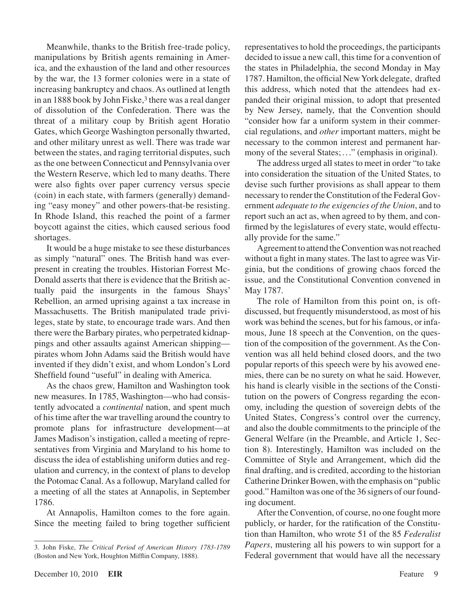Meanwhile, thanks to the British free-trade policy, manipulations by British agents remaining in America, and the exhaustion of the land and other resources by the war, the 13 former colonies were in a state of increasing bankruptcy and chaos.As outlined at length in an 1888 book by John Fiske,<sup>3</sup> there was a real danger of dissolution of the Confederation. There was the threat of a military coup by British agent Horatio Gates, which George Washington personally thwarted, and other military unrest as well. There was trade war between the states, and raging territorial disputes, such asthe one between Connecticut and Pennsylvania over the Western Reserve, which led to many deaths. There were also fights over paper currency versus specie (coin) in each state, with farmers (generally) demanding "easy money" and other powers-that-be resisting. In Rhode Island, this reached the point of a farmer boycott against the cities, which caused serious food shortages.

It would be a huge mistake to see these disturbances as simply "natural" ones. The British hand was everpresent in creating the troubles. Historian Forrest Mc-Donald asserts that there is evidence that the British actually paid the insurgents in the famous Shays' Rebellion, an armed uprising against a tax increase in Massachusetts. The British manipulated trade privileges, state by state, to encourage trade wars. And then there were the Barbary pirates, who perpetrated kidnappings and other assaults against American shipping pirates whom John Adams said the British would have invented if they didn't exist, and whom London's Lord Sheffield found "useful" in dealing with America.

As the chaos grew, Hamilton and Washington took new measures. In 1785, Washington—who had consistently advocated a *continental* nation, and spent much of histime after the war travelling around the country to promote plans for infrastructure development—at James Madison's instigation, called a meeting of representatives from Virginia and Maryland to his home to discuss the idea of establishing uniform duties and regulation and currency, in the context of plans to develop the Potomac Canal. As a followup, Maryland called for a meeting of all the states at Annapolis, in September 1786.

At Annapolis, Hamilton comes to the fore again. Since the meeting failed to bring together sufficient representatives to hold the proceedings, the participants decided to issue a new call, this time for a convention of the states in Philadelphia, the second Monday in May 1787. Hamilton, the official NewYork delegate, drafted this address, which noted that the attendees had expanded their original mission, to adopt that presented by New Jersey, namely, that the Convention should "consider how far a uniform system in their commercial regulations, and *other* important matters, might be necessary to the common interest and permanent harmony of the several States;..." (emphasis in original).

The address urged all states to meet in order "to take" into consideration the situation of the United States, to devise such further provisions as shall appear to them necessary to render the Constitution of the Federal Government *adequate to the exigencies of the Union*, and to report such an act as, when agreed to by them, and confirmed by the legislatures of every state, would effectually provide for the same."

Agreement to attend the Convention was not reached without a fight in many states. The last to agree was Virginia, but the conditions of growing chaos forced the issue, and the Constitutional Convention convened in May 1787.

The role of Hamilton from this point on, is oftdiscussed, but frequently misunderstood, as most of his work was behind the scenes, but for his famous, or infamous, June 18 speech at the Convention, on the question of the composition of the government. As the Convention was all held behind closed doors, and the two popular reports of this speech were by his avowed enemies, there can be no surety on what he said. However, his hand is clearly visible in the sections of the Constitution on the powers of Congress regarding the economy, including the question of sovereign debts of the United States, Congress's control over the currency, and also the double commitments to the principle of the General Welfare (in the Preamble, and Article 1, Section 8). Interestingly, Hamilton was included on the Committee of Style and Arrangement, which did the final drafting, and is credited, according to the historian Catherine Drinker Bowen, with the emphasis on "public good." Hamilton was one of the 36 signers of our founding document.

After the Convention, of course, no one fought more publicly, or harder, for the ratification of the Constitution than Hamilton, who wrote 51 of the 85 *Federalist Papers*, mustering all his powers to win support for a Federal government that would have all the necessary

<sup>3.</sup> John Fiske, *The Critical Period of American History 1783-1789* (Boston and New York, Houghton Mifflin Company, 1888).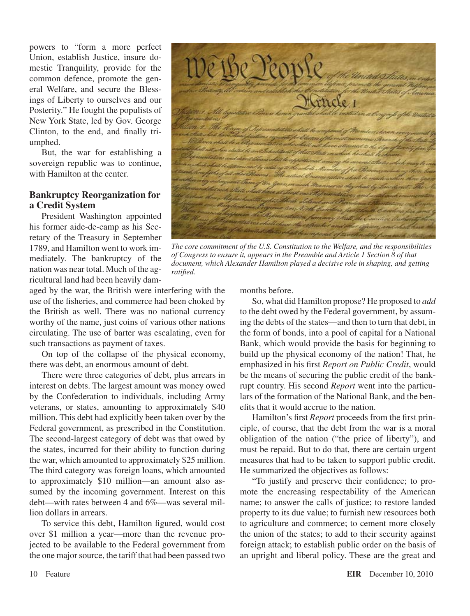powers to "form a more perfect Union, establish Justice, insure domestic Tranquility, provide for the common defence, promote the general Welfare, and secure the Blessings of Liberty to ourselves and our Posterity." He fought the populists of New York State, led by Gov. George Clinton, to the end, and finally triumphed.

But, the war for establishing a sovereign republic was to continue, with Hamilton at the center.

#### **Bankruptcy Reorganization for a Credit System**

President Washington appointed his former aide-de-camp as his Secretary of the Treasury in September 1789, and Hamilton went to work immediately. The bankruptcy of the nation was near total. Much of the agricultural land had been heavily dam-

aged by the war, the British were interfering with the use of the fisheries, and commerce had been choked by the British as well. There was no national currency worthy of the name, just coins of various other nations circulating. The use of barter was escalating, even for such transactions as payment of taxes.

On top of the collapse of the physical economy, there was debt, an enormous amount of debt.

There were three categories of debt, plus arrears in interest on debts. The largest amount was money owed by the Confederation to individuals, including Army veterans, or states, amounting to approximately \$40 million. This debt had explicitly been taken over by the Federal government, as prescribed in the Constitution. The second-largest category of debt was that owed by the states, incurred for their ability to function during the war, which amounted to approximately \$25 million. The third category was foreign loans, which amounted to approximately \$10 million—an amount also assumed by the incoming government. Interest on this debt—with rates between 4 and 6%—was several million dollars in arrears.

To service this debt, Hamilton figured, would cost over \$1 million a year—more than the revenue projected to be available to the Federal government from the one major source, the tariff that had been passed two



*The core commitment of the U.S. Constitution to the Welfare, and the responsibilities of Congress to ensure it, appears in the Preamble and Article 1 Section 8 of that document, which Alexander Hamilton played a decisive role in shaping, and getting ratified.*

months before.

So, what did Hamilton propose? He proposed to *add* to the debt owed by the Federal government, by assuming the debts of the states—and then to turn that debt, in the form of bonds, into a pool of capital for a National Bank, which would provide the basis for beginning to build up the physical economy of the nation! That, he emphasized in his first *Report on Public Credit*, would be the means of securing the public credit of the bankrupt country. His second *Report* went into the particulars of the formation of the National Bank, and the benefits that it would accrue to the nation.

Hamilton's first *Report* proceeds from the first principle, of course, that the debt from the war is a moral obligation of the nation ("the price of liberty"), and must be repaid. But to do that, there are certain urgent measures that had to be taken to support public credit. He summarized the objectives as follows:

"To justify and preserve their confidence; to promote the encreasing respectability of the American name; to answer the calls of justice; to restore landed property to its due value; to furnish new resources both to agriculture and commerce; to cement more closely the union of the states; to add to their security against foreign attack; to establish public order on the basis of an upright and liberal policy. These are the great and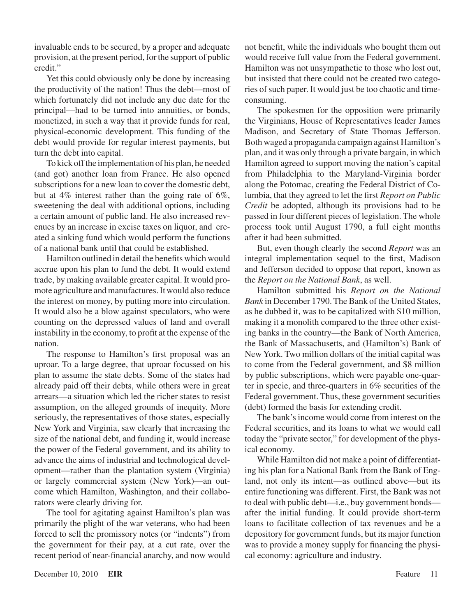invaluable ends to be secured, by a proper and adequate provision, at the present period, for the support of public credit."

Yet this could obviously only be done by increasing the productivity of the nation! Thus the debt—most of which fortunately did not include any due date for the principal—had to be turned into annuities, or bonds, monetized, in such a way that it provide funds for real, physical-economic development. This funding of the debt would provide for regular interest payments, but turn the debt into capital.

To kick offthe implementation of his plan, he needed (and got) another loan from France. He also opened subscriptions for a new loan to cover the domestic debt, but at 4% interest rather than the going rate of 6%, sweetening the deal with additional options, including a certain amount of public land. He also increased revenues by an increase in excise taxes on liquor, and created a sinking fund which would perform the functions of a national bank until that could be established.

Hamilton outlined in detail the benefits which would accrue upon his plan to fund the debt. It would extend trade, by making available greater capital. It would promote agriculture and manufactures. It would also reduce the interest on money, by putting more into circulation. It would also be a blow against speculators, who were counting on the depressed values of land and overall instability in the economy, to profit at the expense of the nation.

The response to Hamilton's first proposal was an uproar. To a large degree, that uproar focussed on his plan to assume the state debts. Some of the states had already paid off their debts, while others were in great arrears—a situation which led the richer states to resist assumption, on the alleged grounds of inequity. More seriously, the representatives of those states, especially New York and Virginia, saw clearly that increasing the size of the national debt, and funding it, would increase the power of the Federal government, and its ability to advance the aims of industrial and technological development—rather than the plantation system (Virginia) or largely commercial system (New York)—an outcome which Hamilton, Washington, and their collaborators were clearly driving for.

The tool for agitating against Hamilton's plan was primarily the plight of the war veterans, who had been forced to sell the promissory notes (or "indents") from the government for their pay, at a cut rate, over the recent period of near-financial anarchy, and now would not benefit, while the individuals who bought them out would receive full value from the Federal government. Hamilton was not unsympathetic to those who lost out, but insisted that there could not be created two categories of such paper. It would just be too chaotic and timeconsuming.

The spokesmen for the opposition were primarily the Virginians, House of Representatives leader James Madison, and Secretary of State Thomas Jefferson. Both waged a propaganda campaign against Hamilton's plan, and it was only through a private bargain, in which Hamilton agreed to support moving the nation's capital from Philadelphia to the Maryland-Virginia border along the Potomac, creating the Federal District of Columbia, that they agreed to let the first *Report on Public Credit* be adopted, although its provisions had to be passed in four different pieces of legislation. The whole process took until August 1790, a full eight months after it had been submitted.

But, even though clearly the second *Report* was an integral implementation sequel to the first, Madison and Jefferson decided to oppose that report, known as the *Report on the National Bank*, as well.

Hamilton submitted his *Report on the National Bank* in December 1790. The Bank of the United States, as he dubbed it, was to be capitalized with \$10 million, making it a monolith compared to the three other existing banks in the country—the Bank of North America, the Bank of Massachusetts, and (Hamilton's) Bank of New York. Two million dollars of the initial capital was to come from the Federal government, and \$8 million by public subscriptions, which were payable one-quarter in specie, and three-quarters in 6% securities of the Federal government. Thus, these government securities (debt) formed the basis for extending credit.

The bank's income would come from interest on the Federal securities, and its loans to what we would call today the "private sector," for development of the physical economy.

While Hamilton did not make a point of differentiating his plan for a National Bank from the Bank of England, not only its intent—as outlined above—but its entire functioning was different. First, the Bank was not to deal with public debt—i.e., buy government bonds after the initial funding. It could provide short-term loans to facilitate collection of tax revenues and be a depository for government funds, but its major function was to provide a money supply for financing the physical economy: agriculture and industry.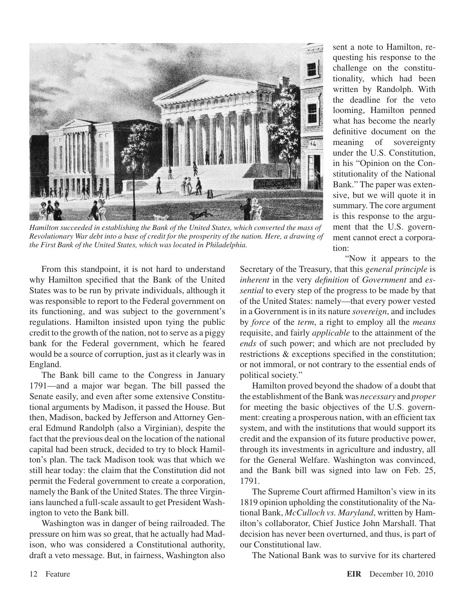

*Hamilton succeeded in establishing the Bank of the United States, which converted the mass of Revolutionary War debt into a base of credit for the prosperity of the nation. Here, a drawing of the First Bank of the United States, which was located in Philadelphia.*

sent a note to Hamilton, requesting his response to the challenge on the constitutionality, which had been written by Randolph. With the deadline for the veto looming, Hamilton penned what has become the nearly definitive document on the meaning of sovereignty under the U.S. Constitution, in his "Opinion on the Constitutionality of the National Bank." The paper was extensive, but we will quote it in summary. The core argument is this response to the argument that the U.S. government cannot erect a corporation:

"Now it appears to the

From this standpoint, it is not hard to understand why Hamilton specified that the Bank of the United States was to be run by private individuals, although it was responsible to report to the Federal government on its functioning, and was subject to the government's regulations. Hamilton insisted upon tying the public credit to the growth of the nation, not to serve as a piggy bank for the Federal government, which he feared would be a source of corruption, just as it clearly was in England.

The Bank bill came to the Congress in January 1791—and a major war began. The bill passed the Senate easily, and even after some extensive Constitutional arguments by Madison, it passed the House. But then, Madison, backed by Jefferson and Attorney General Edmund Randolph (also a Virginian), despite the fact that the previous deal on the location of the national capital had been struck, decided to try to block Hamilton's plan. The tack Madison took was that which we still hear today: the claim that the Constitution did not permit the Federal government to create a corporation, namely the Bank of the United States. The three Virginians launched a full-scale assault to get President Washington to veto the Bank bill.

Washington was in danger of being railroaded. The pressure on him was so great, that he actually had Madison, who was considered a Constitutional authority, draft a veto message. But, in fairness, Washington also

Secretary of the Treasury, that this *general principle* is *inherent* in the very *definition* of *Government* and *essential* to every step of the progress to be made by that of the United States: namely—that every power vested in a Government is in its nature *sovereign*, and includes by *force* of the *term*, a right to employ all the *means* requisite, and fairly *applicable* to the attainment of the *ends* of such power; and which are not precluded by restrictions & exceptions specified in the constitution; or not immoral, or not contrary to the essential ends of political society."

Hamilton proved beyond the shadow of a doubt that the establishment of the Bank was *necessary* and *proper* for meeting the basic objectives of the U.S. government: creating a prosperous nation, with an efficient tax system, and with the institutions that would support its credit and the expansion of its future productive power, through its investments in agriculture and industry, all for the General Welfare. Washington was convinced, and the Bank bill was signed into law on Feb. 25, 1791.

The Supreme Court affirmed Hamilton's view in its 1819 opinion upholding the constitutionality of the National Bank, *McCulloch vs. Maryland*, written by Hamilton's collaborator, Chief Justice John Marshall. That decision has never been overturned, and thus, is part of our Constitutional law.

The National Bank was to survive for its chartered